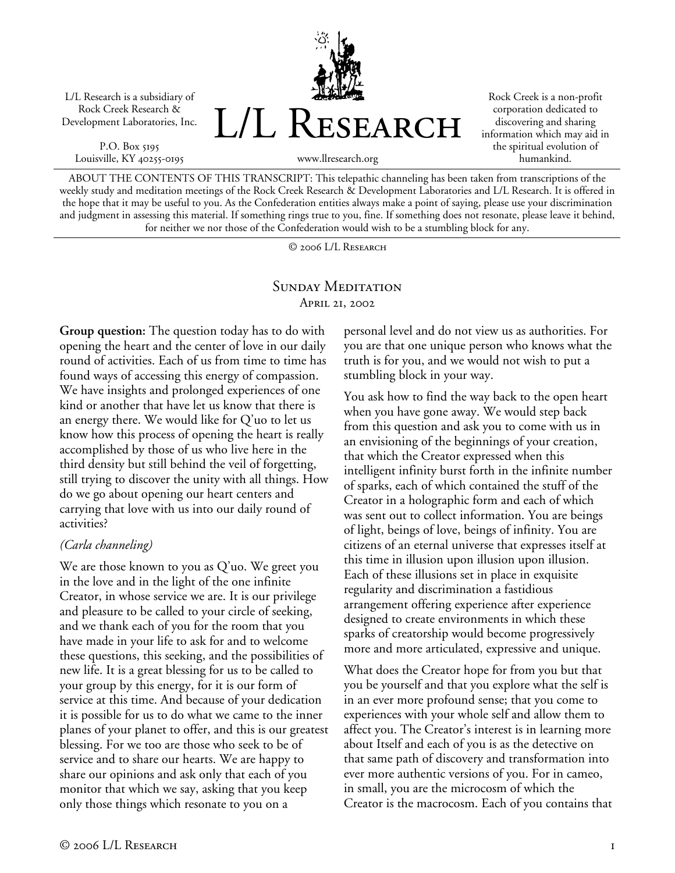L/L Research is a subsidiary of Rock Creek Research & Development Laboratories, Inc.

P.O. Box 5195 Louisville, KY 40255-0195



Rock Creek is a non-profit corporation dedicated to discovering and sharing information which may aid in the spiritual evolution of humankind.

ABOUT THE CONTENTS OF THIS TRANSCRIPT: This telepathic channeling has been taken from transcriptions of the weekly study and meditation meetings of the Rock Creek Research & Development Laboratories and L/L Research. It is offered in the hope that it may be useful to you. As the Confederation entities always make a point of saying, please use your discrimination and judgment in assessing this material. If something rings true to you, fine. If something does not resonate, please leave it behind, for neither we nor those of the Confederation would wish to be a stumbling block for any.

© 2006 L/L Research

## SUNDAY MEDITATION April 21, 2002

**Group question:** The question today has to do with opening the heart and the center of love in our daily round of activities. Each of us from time to time has found ways of accessing this energy of compassion. We have insights and prolonged experiences of one kind or another that have let us know that there is an energy there. We would like for Q'uo to let us know how this process of opening the heart is really accomplished by those of us who live here in the third density but still behind the veil of forgetting, still trying to discover the unity with all things. How do we go about opening our heart centers and carrying that love with us into our daily round of activities?

## *(Carla channeling)*

We are those known to you as Q'uo. We greet you in the love and in the light of the one infinite Creator, in whose service we are. It is our privilege and pleasure to be called to your circle of seeking, and we thank each of you for the room that you have made in your life to ask for and to welcome these questions, this seeking, and the possibilities of new life. It is a great blessing for us to be called to your group by this energy, for it is our form of service at this time. And because of your dedication it is possible for us to do what we came to the inner planes of your planet to offer, and this is our greatest blessing. For we too are those who seek to be of service and to share our hearts. We are happy to share our opinions and ask only that each of you monitor that which we say, asking that you keep only those things which resonate to you on a

personal level and do not view us as authorities. For you are that one unique person who knows what the truth is for you, and we would not wish to put a stumbling block in your way.

You ask how to find the way back to the open heart when you have gone away. We would step back from this question and ask you to come with us in an envisioning of the beginnings of your creation, that which the Creator expressed when this intelligent infinity burst forth in the infinite number of sparks, each of which contained the stuff of the Creator in a holographic form and each of which was sent out to collect information. You are beings of light, beings of love, beings of infinity. You are citizens of an eternal universe that expresses itself at this time in illusion upon illusion upon illusion. Each of these illusions set in place in exquisite regularity and discrimination a fastidious arrangement offering experience after experience designed to create environments in which these sparks of creatorship would become progressively more and more articulated, expressive and unique.

What does the Creator hope for from you but that you be yourself and that you explore what the self is in an ever more profound sense; that you come to experiences with your whole self and allow them to affect you. The Creator's interest is in learning more about Itself and each of you is as the detective on that same path of discovery and transformation into ever more authentic versions of you. For in cameo, in small, you are the microcosm of which the Creator is the macrocosm. Each of you contains that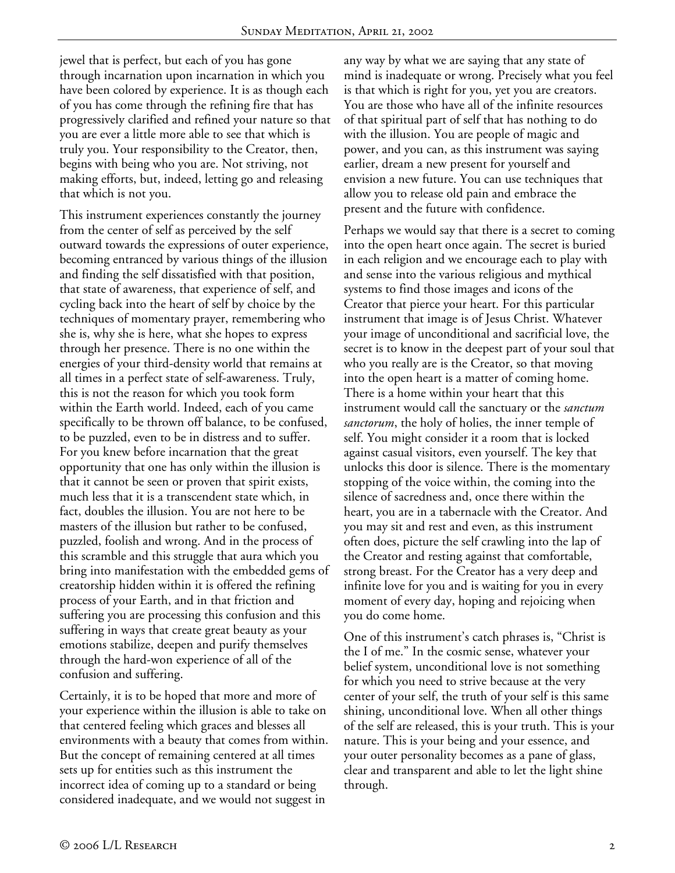jewel that is perfect, but each of you has gone through incarnation upon incarnation in which you have been colored by experience. It is as though each of you has come through the refining fire that has progressively clarified and refined your nature so that you are ever a little more able to see that which is truly you. Your responsibility to the Creator, then, begins with being who you are. Not striving, not making efforts, but, indeed, letting go and releasing that which is not you.

This instrument experiences constantly the journey from the center of self as perceived by the self outward towards the expressions of outer experience, becoming entranced by various things of the illusion and finding the self dissatisfied with that position, that state of awareness, that experience of self, and cycling back into the heart of self by choice by the techniques of momentary prayer, remembering who she is, why she is here, what she hopes to express through her presence. There is no one within the energies of your third-density world that remains at all times in a perfect state of self-awareness. Truly, this is not the reason for which you took form within the Earth world. Indeed, each of you came specifically to be thrown off balance, to be confused, to be puzzled, even to be in distress and to suffer. For you knew before incarnation that the great opportunity that one has only within the illusion is that it cannot be seen or proven that spirit exists, much less that it is a transcendent state which, in fact, doubles the illusion. You are not here to be masters of the illusion but rather to be confused, puzzled, foolish and wrong. And in the process of this scramble and this struggle that aura which you bring into manifestation with the embedded gems of creatorship hidden within it is offered the refining process of your Earth, and in that friction and suffering you are processing this confusion and this suffering in ways that create great beauty as your emotions stabilize, deepen and purify themselves through the hard-won experience of all of the confusion and suffering.

Certainly, it is to be hoped that more and more of your experience within the illusion is able to take on that centered feeling which graces and blesses all environments with a beauty that comes from within. But the concept of remaining centered at all times sets up for entities such as this instrument the incorrect idea of coming up to a standard or being considered inadequate, and we would not suggest in

any way by what we are saying that any state of mind is inadequate or wrong. Precisely what you feel is that which is right for you, yet you are creators. You are those who have all of the infinite resources of that spiritual part of self that has nothing to do with the illusion. You are people of magic and power, and you can, as this instrument was saying earlier, dream a new present for yourself and envision a new future. You can use techniques that allow you to release old pain and embrace the present and the future with confidence.

Perhaps we would say that there is a secret to coming into the open heart once again. The secret is buried in each religion and we encourage each to play with and sense into the various religious and mythical systems to find those images and icons of the Creator that pierce your heart. For this particular instrument that image is of Jesus Christ. Whatever your image of unconditional and sacrificial love, the secret is to know in the deepest part of your soul that who you really are is the Creator, so that moving into the open heart is a matter of coming home. There is a home within your heart that this instrument would call the sanctuary or the *sanctum sanctorum*, the holy of holies, the inner temple of self. You might consider it a room that is locked against casual visitors, even yourself. The key that unlocks this door is silence. There is the momentary stopping of the voice within, the coming into the silence of sacredness and, once there within the heart, you are in a tabernacle with the Creator. And you may sit and rest and even, as this instrument often does, picture the self crawling into the lap of the Creator and resting against that comfortable, strong breast. For the Creator has a very deep and infinite love for you and is waiting for you in every moment of every day, hoping and rejoicing when you do come home.

One of this instrument's catch phrases is, "Christ is the I of me." In the cosmic sense, whatever your belief system, unconditional love is not something for which you need to strive because at the very center of your self, the truth of your self is this same shining, unconditional love. When all other things of the self are released, this is your truth. This is your nature. This is your being and your essence, and your outer personality becomes as a pane of glass, clear and transparent and able to let the light shine through.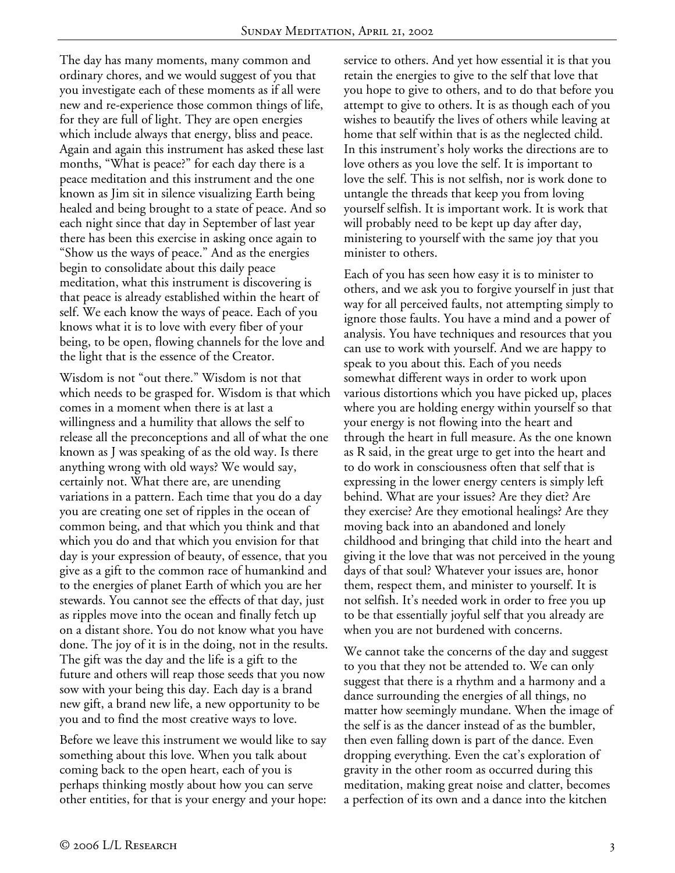The day has many moments, many common and ordinary chores, and we would suggest of you that you investigate each of these moments as if all were new and re-experience those common things of life, for they are full of light. They are open energies which include always that energy, bliss and peace. Again and again this instrument has asked these last months, "What is peace?" for each day there is a peace meditation and this instrument and the one known as Jim sit in silence visualizing Earth being healed and being brought to a state of peace. And so each night since that day in September of last year there has been this exercise in asking once again to "Show us the ways of peace." And as the energies begin to consolidate about this daily peace meditation, what this instrument is discovering is that peace is already established within the heart of self. We each know the ways of peace. Each of you knows what it is to love with every fiber of your being, to be open, flowing channels for the love and the light that is the essence of the Creator.

Wisdom is not "out there." Wisdom is not that which needs to be grasped for. Wisdom is that which comes in a moment when there is at last a willingness and a humility that allows the self to release all the preconceptions and all of what the one known as J was speaking of as the old way. Is there anything wrong with old ways? We would say, certainly not. What there are, are unending variations in a pattern. Each time that you do a day you are creating one set of ripples in the ocean of common being, and that which you think and that which you do and that which you envision for that day is your expression of beauty, of essence, that you give as a gift to the common race of humankind and to the energies of planet Earth of which you are her stewards. You cannot see the effects of that day, just as ripples move into the ocean and finally fetch up on a distant shore. You do not know what you have done. The joy of it is in the doing, not in the results. The gift was the day and the life is a gift to the future and others will reap those seeds that you now sow with your being this day. Each day is a brand new gift, a brand new life, a new opportunity to be you and to find the most creative ways to love.

Before we leave this instrument we would like to say something about this love. When you talk about coming back to the open heart, each of you is perhaps thinking mostly about how you can serve other entities, for that is your energy and your hope: service to others. And yet how essential it is that you retain the energies to give to the self that love that you hope to give to others, and to do that before you attempt to give to others. It is as though each of you wishes to beautify the lives of others while leaving at home that self within that is as the neglected child. In this instrument's holy works the directions are to love others as you love the self. It is important to love the self. This is not selfish, nor is work done to untangle the threads that keep you from loving yourself selfish. It is important work. It is work that will probably need to be kept up day after day, ministering to yourself with the same joy that you minister to others.

Each of you has seen how easy it is to minister to others, and we ask you to forgive yourself in just that way for all perceived faults, not attempting simply to ignore those faults. You have a mind and a power of analysis. You have techniques and resources that you can use to work with yourself. And we are happy to speak to you about this. Each of you needs somewhat different ways in order to work upon various distortions which you have picked up, places where you are holding energy within yourself so that your energy is not flowing into the heart and through the heart in full measure. As the one known as R said, in the great urge to get into the heart and to do work in consciousness often that self that is expressing in the lower energy centers is simply left behind. What are your issues? Are they diet? Are they exercise? Are they emotional healings? Are they moving back into an abandoned and lonely childhood and bringing that child into the heart and giving it the love that was not perceived in the young days of that soul? Whatever your issues are, honor them, respect them, and minister to yourself. It is not selfish. It's needed work in order to free you up to be that essentially joyful self that you already are when you are not burdened with concerns.

We cannot take the concerns of the day and suggest to you that they not be attended to. We can only suggest that there is a rhythm and a harmony and a dance surrounding the energies of all things, no matter how seemingly mundane. When the image of the self is as the dancer instead of as the bumbler, then even falling down is part of the dance. Even dropping everything. Even the cat's exploration of gravity in the other room as occurred during this meditation, making great noise and clatter, becomes a perfection of its own and a dance into the kitchen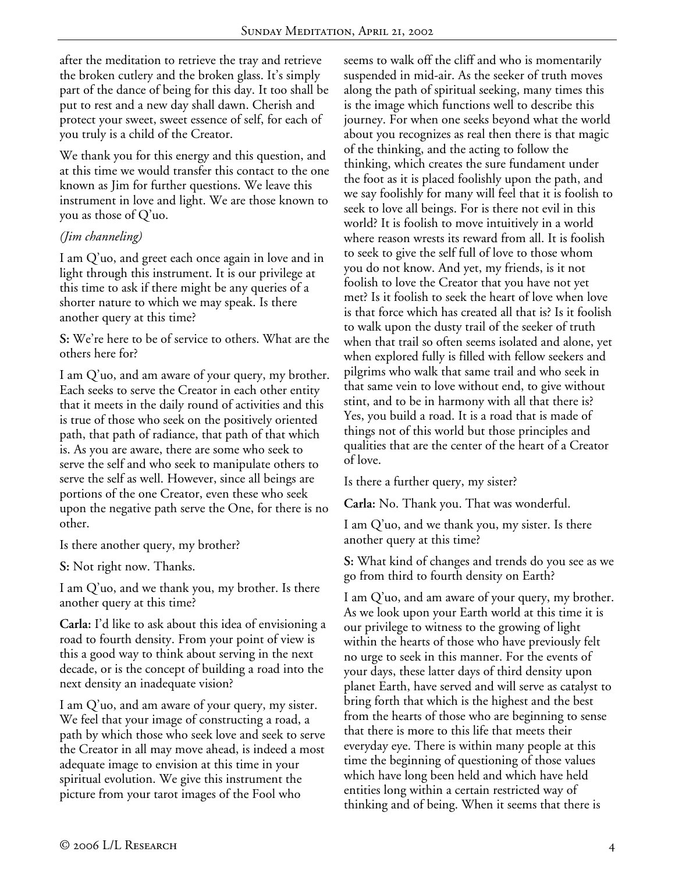after the meditation to retrieve the tray and retrieve the broken cutlery and the broken glass. It's simply part of the dance of being for this day. It too shall be put to rest and a new day shall dawn. Cherish and protect your sweet, sweet essence of self, for each of you truly is a child of the Creator.

We thank you for this energy and this question, and at this time we would transfer this contact to the one known as Jim for further questions. We leave this instrument in love and light. We are those known to you as those of Q'uo.

## *(Jim channeling)*

I am Q'uo, and greet each once again in love and in light through this instrument. It is our privilege at this time to ask if there might be any queries of a shorter nature to which we may speak. Is there another query at this time?

**S:** We're here to be of service to others. What are the others here for?

I am Q'uo, and am aware of your query, my brother. Each seeks to serve the Creator in each other entity that it meets in the daily round of activities and this is true of those who seek on the positively oriented path, that path of radiance, that path of that which is. As you are aware, there are some who seek to serve the self and who seek to manipulate others to serve the self as well. However, since all beings are portions of the one Creator, even these who seek upon the negative path serve the One, for there is no other.

Is there another query, my brother?

**S:** Not right now. Thanks.

I am Q'uo, and we thank you, my brother. Is there another query at this time?

**Carla:** I'd like to ask about this idea of envisioning a road to fourth density. From your point of view is this a good way to think about serving in the next decade, or is the concept of building a road into the next density an inadequate vision?

I am Q'uo, and am aware of your query, my sister. We feel that your image of constructing a road, a path by which those who seek love and seek to serve the Creator in all may move ahead, is indeed a most adequate image to envision at this time in your spiritual evolution. We give this instrument the picture from your tarot images of the Fool who

seems to walk off the cliff and who is momentarily suspended in mid-air. As the seeker of truth moves along the path of spiritual seeking, many times this is the image which functions well to describe this journey. For when one seeks beyond what the world about you recognizes as real then there is that magic of the thinking, and the acting to follow the thinking, which creates the sure fundament under the foot as it is placed foolishly upon the path, and we say foolishly for many will feel that it is foolish to seek to love all beings. For is there not evil in this world? It is foolish to move intuitively in a world where reason wrests its reward from all. It is foolish to seek to give the self full of love to those whom you do not know. And yet, my friends, is it not foolish to love the Creator that you have not yet met? Is it foolish to seek the heart of love when love is that force which has created all that is? Is it foolish to walk upon the dusty trail of the seeker of truth when that trail so often seems isolated and alone, yet when explored fully is filled with fellow seekers and pilgrims who walk that same trail and who seek in that same vein to love without end, to give without stint, and to be in harmony with all that there is? Yes, you build a road. It is a road that is made of things not of this world but those principles and qualities that are the center of the heart of a Creator of love.

Is there a further query, my sister?

**Carla:** No. Thank you. That was wonderful.

I am Q'uo, and we thank you, my sister. Is there another query at this time?

**S:** What kind of changes and trends do you see as we go from third to fourth density on Earth?

I am Q'uo, and am aware of your query, my brother. As we look upon your Earth world at this time it is our privilege to witness to the growing of light within the hearts of those who have previously felt no urge to seek in this manner. For the events of your days, these latter days of third density upon planet Earth, have served and will serve as catalyst to bring forth that which is the highest and the best from the hearts of those who are beginning to sense that there is more to this life that meets their everyday eye. There is within many people at this time the beginning of questioning of those values which have long been held and which have held entities long within a certain restricted way of thinking and of being. When it seems that there is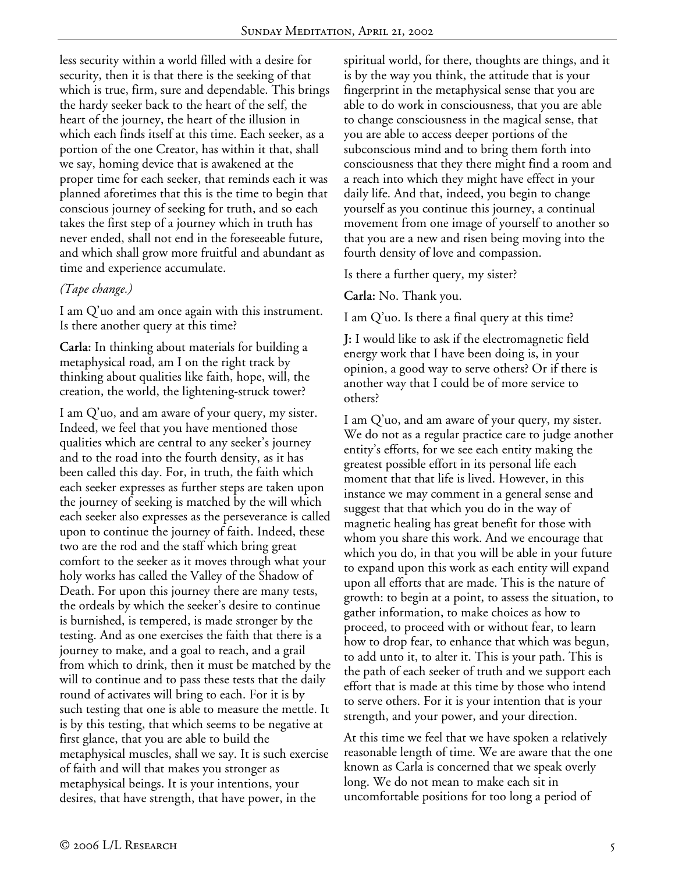less security within a world filled with a desire for security, then it is that there is the seeking of that which is true, firm, sure and dependable. This brings the hardy seeker back to the heart of the self, the heart of the journey, the heart of the illusion in which each finds itself at this time. Each seeker, as a portion of the one Creator, has within it that, shall we say, homing device that is awakened at the proper time for each seeker, that reminds each it was planned aforetimes that this is the time to begin that conscious journey of seeking for truth, and so each takes the first step of a journey which in truth has never ended, shall not end in the foreseeable future, and which shall grow more fruitful and abundant as time and experience accumulate.

## *(Tape change.)*

I am Q'uo and am once again with this instrument. Is there another query at this time?

**Carla:** In thinking about materials for building a metaphysical road, am I on the right track by thinking about qualities like faith, hope, will, the creation, the world, the lightening-struck tower?

I am Q'uo, and am aware of your query, my sister. Indeed, we feel that you have mentioned those qualities which are central to any seeker's journey and to the road into the fourth density, as it has been called this day. For, in truth, the faith which each seeker expresses as further steps are taken upon the journey of seeking is matched by the will which each seeker also expresses as the perseverance is called upon to continue the journey of faith. Indeed, these two are the rod and the staff which bring great comfort to the seeker as it moves through what your holy works has called the Valley of the Shadow of Death. For upon this journey there are many tests, the ordeals by which the seeker's desire to continue is burnished, is tempered, is made stronger by the testing. And as one exercises the faith that there is a journey to make, and a goal to reach, and a grail from which to drink, then it must be matched by the will to continue and to pass these tests that the daily round of activates will bring to each. For it is by such testing that one is able to measure the mettle. It is by this testing, that which seems to be negative at first glance, that you are able to build the metaphysical muscles, shall we say. It is such exercise of faith and will that makes you stronger as metaphysical beings. It is your intentions, your desires, that have strength, that have power, in the

spiritual world, for there, thoughts are things, and it is by the way you think, the attitude that is your fingerprint in the metaphysical sense that you are able to do work in consciousness, that you are able to change consciousness in the magical sense, that you are able to access deeper portions of the subconscious mind and to bring them forth into consciousness that they there might find a room and a reach into which they might have effect in your daily life. And that, indeed, you begin to change yourself as you continue this journey, a continual movement from one image of yourself to another so that you are a new and risen being moving into the fourth density of love and compassion.

Is there a further query, my sister?

**Carla:** No. Thank you.

I am Q'uo. Is there a final query at this time?

**J:** I would like to ask if the electromagnetic field energy work that I have been doing is, in your opinion, a good way to serve others? Or if there is another way that I could be of more service to others?

I am Q'uo, and am aware of your query, my sister. We do not as a regular practice care to judge another entity's efforts, for we see each entity making the greatest possible effort in its personal life each moment that that life is lived. However, in this instance we may comment in a general sense and suggest that that which you do in the way of magnetic healing has great benefit for those with whom you share this work. And we encourage that which you do, in that you will be able in your future to expand upon this work as each entity will expand upon all efforts that are made. This is the nature of growth: to begin at a point, to assess the situation, to gather information, to make choices as how to proceed, to proceed with or without fear, to learn how to drop fear, to enhance that which was begun, to add unto it, to alter it. This is your path. This is the path of each seeker of truth and we support each effort that is made at this time by those who intend to serve others. For it is your intention that is your strength, and your power, and your direction.

At this time we feel that we have spoken a relatively reasonable length of time. We are aware that the one known as Carla is concerned that we speak overly long. We do not mean to make each sit in uncomfortable positions for too long a period of